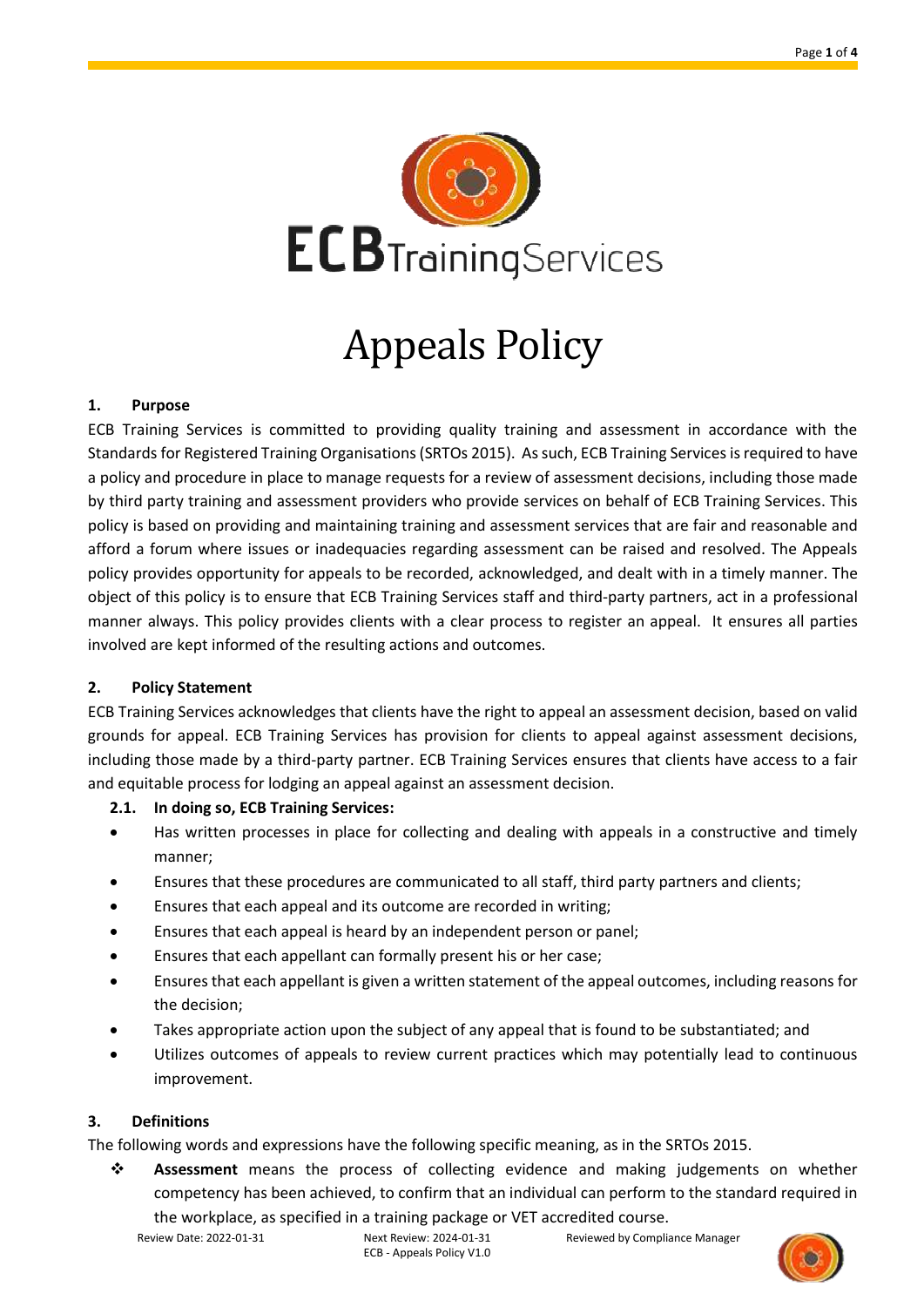

# Appeals Policy

#### **1. Purpose**

ECB Training Services is committed to providing quality training and assessment in accordance with the Standards for Registered Training Organisations (SRTOs 2015). As such, ECB Training Servicesis required to have a policy and procedure in place to manage requests for a review of assessment decisions, including those made by third party training and assessment providers who provide services on behalf of ECB Training Services. This policy is based on providing and maintaining training and assessment services that are fair and reasonable and afford a forum where issues or inadequacies regarding assessment can be raised and resolved. The Appeals policy provides opportunity for appeals to be recorded, acknowledged, and dealt with in a timely manner. The object of this policy is to ensure that ECB Training Services staff and third-party partners, act in a professional manner always. This policy provides clients with a clear process to register an appeal. It ensures all parties involved are kept informed of the resulting actions and outcomes.

#### **2. Policy Statement**

ECB Training Services acknowledges that clients have the right to appeal an assessment decision, based on valid grounds for appeal. ECB Training Services has provision for clients to appeal against assessment decisions, including those made by a third-party partner. ECB Training Services ensures that clients have access to a fair and equitable process for lodging an appeal against an assessment decision.

#### **2.1. In doing so, ECB Training Services:**

- Has written processes in place for collecting and dealing with appeals in a constructive and timely manner;
- Ensures that these procedures are communicated to all staff, third party partners and clients;
- Ensures that each appeal and its outcome are recorded in writing;
- Ensures that each appeal is heard by an independent person or panel;
- Ensures that each appellant can formally present his or her case;
- Ensures that each appellant is given a written statement of the appeal outcomes, including reasons for the decision;
- Takes appropriate action upon the subject of any appeal that is found to be substantiated; and
- Utilizes outcomes of appeals to review current practices which may potentially lead to continuous improvement.

## **3. Definitions**

The following words and expressions have the following specific meaning, as in the SRTOs 2015.

❖ **Assessment** means the process of collecting evidence and making judgements on whether competency has been achieved, to confirm that an individual can perform to the standard required in

the workplace, as specified in a training package or VET accredited course.

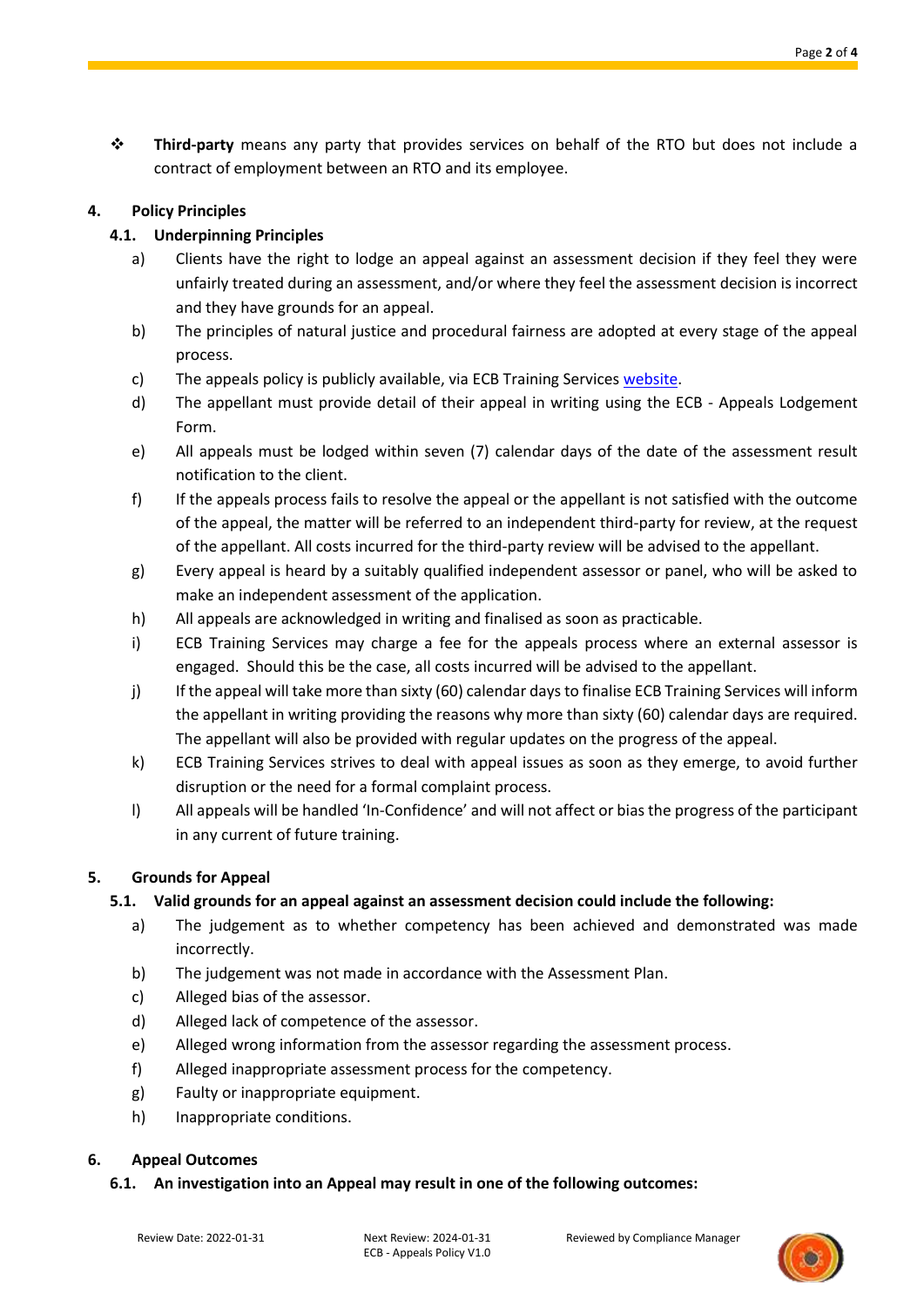❖ **Third-party** means any party that provides services on behalf of the RTO but does not include a contract of employment between an RTO and its employee.

# **4. Policy Principles**

# **4.1. Underpinning Principles**

- a) Clients have the right to lodge an appeal against an assessment decision if they feel they were unfairly treated during an assessment, and/or where they feel the assessment decision is incorrect and they have grounds for an appeal.
- b) The principles of natural justice and procedural fairness are adopted at every stage of the appeal process.
- c) The appeals policy is publicly available, via ECB Training Services [website.](https://www.ecbtraining.com.au/student-information)
- d) The appellant must provide detail of their appeal in writing using the ECB Appeals Lodgement Form.
- e) All appeals must be lodged within seven (7) calendar days of the date of the assessment result notification to the client.
- f) If the appeals process fails to resolve the appeal or the appellant is not satisfied with the outcome of the appeal, the matter will be referred to an independent third-party for review, at the request of the appellant. All costs incurred for the third-party review will be advised to the appellant.
- g) Every appeal is heard by a suitably qualified independent assessor or panel, who will be asked to make an independent assessment of the application.
- h) All appeals are acknowledged in writing and finalised as soon as practicable.
- i) ECB Training Services may charge a fee for the appeals process where an external assessor is engaged. Should this be the case, all costs incurred will be advised to the appellant.
- j) If the appeal will take more than sixty (60) calendar days to finalise ECB Training Services will inform the appellant in writing providing the reasons why more than sixty (60) calendar days are required. The appellant will also be provided with regular updates on the progress of the appeal.
- k) ECB Training Services strives to deal with appeal issues as soon as they emerge, to avoid further disruption or the need for a formal complaint process.
- l) All appeals will be handled 'In-Confidence' and will not affect or bias the progress of the participant in any current of future training.

## **5. Grounds for Appeal**

## **5.1. Valid grounds for an appeal against an assessment decision could include the following:**

- a) The judgement as to whether competency has been achieved and demonstrated was made incorrectly.
- b) The judgement was not made in accordance with the Assessment Plan.
- c) Alleged bias of the assessor.
- d) Alleged lack of competence of the assessor.
- e) Alleged wrong information from the assessor regarding the assessment process.
- f) Alleged inappropriate assessment process for the competency.
- g) Faulty or inappropriate equipment.
- h) Inappropriate conditions.

## **6. Appeal Outcomes**

**6.1. An investigation into an Appeal may result in one of the following outcomes:**

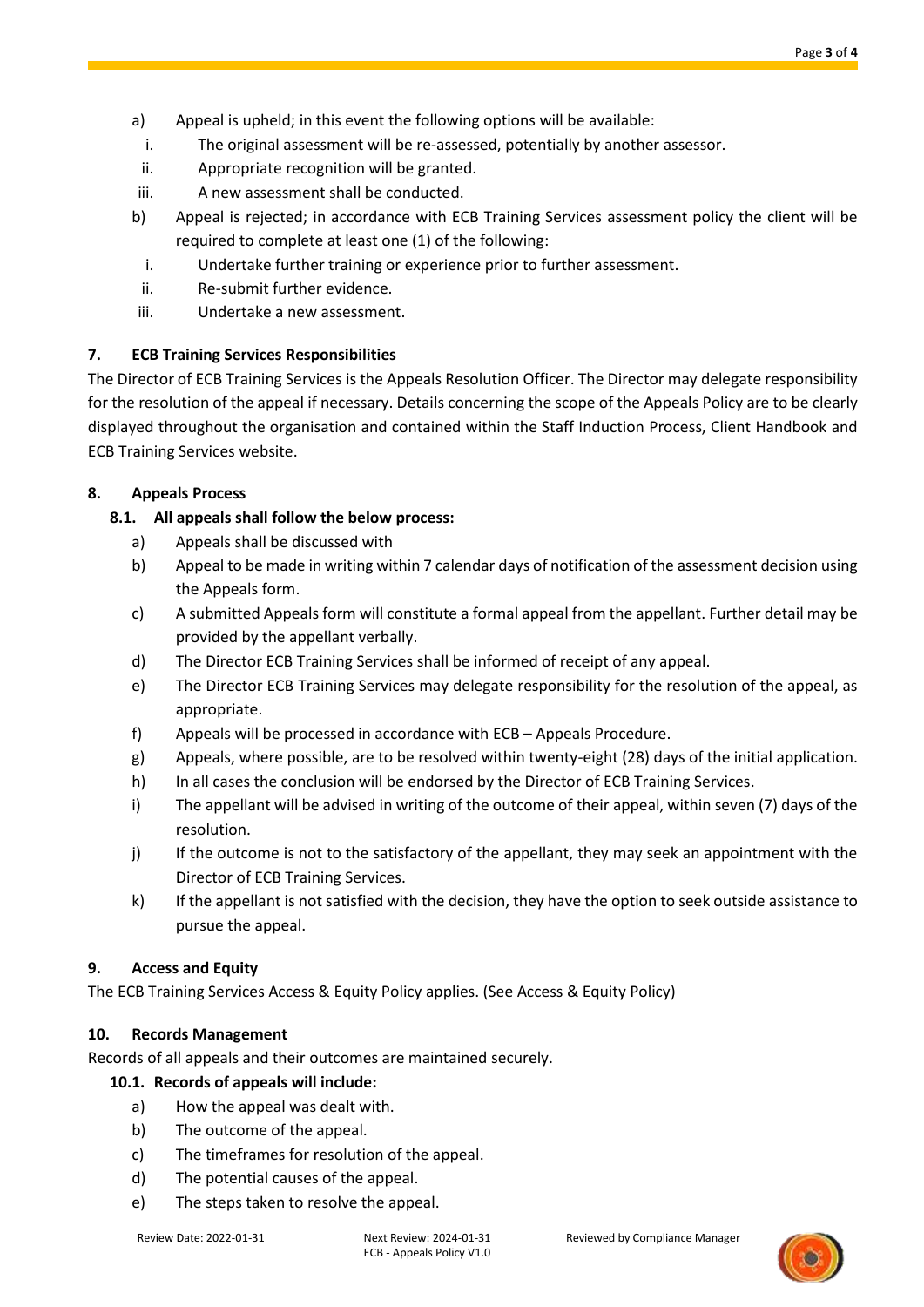- a) Appeal is upheld; in this event the following options will be available:
	- i. The original assessment will be re-assessed, potentially by another assessor.
- ii. Appropriate recognition will be granted.
- iii. A new assessment shall be conducted.
- b) Appeal is rejected; in accordance with ECB Training Services assessment policy the client will be required to complete at least one (1) of the following:
	- i. Undertake further training or experience prior to further assessment.
- ii. Re-submit further evidence.
- iii. Undertake a new assessment.

# **7. ECB Training Services Responsibilities**

The Director of ECB Training Services is the Appeals Resolution Officer. The Director may delegate responsibility for the resolution of the appeal if necessary. Details concerning the scope of the Appeals Policy are to be clearly displayed throughout the organisation and contained within the Staff Induction Process, Client Handbook and ECB Training Services website.

# **8. Appeals Process**

- **8.1. All appeals shall follow the below process:**
	- a) Appeals shall be discussed with
	- b) Appeal to be made in writing within 7 calendar days of notification of the assessment decision using the Appeals form.
	- c) A submitted Appeals form will constitute a formal appeal from the appellant. Further detail may be provided by the appellant verbally.
	- d) The Director ECB Training Services shall be informed of receipt of any appeal.
	- e) The Director ECB Training Services may delegate responsibility for the resolution of the appeal, as appropriate.
	- f) Appeals will be processed in accordance with ECB Appeals Procedure.
	- g) Appeals, where possible, are to be resolved within twenty-eight (28) days of the initial application.
	- h) In all cases the conclusion will be endorsed by the Director of ECB Training Services.
	- i) The appellant will be advised in writing of the outcome of their appeal, within seven (7) days of the resolution.
	- j) If the outcome is not to the satisfactory of the appellant, they may seek an appointment with the Director of ECB Training Services.
	- k) If the appellant is not satisfied with the decision, they have the option to seek outside assistance to pursue the appeal.

## **9. Access and Equity**

The ECB Training Services Access & Equity Policy applies. (See Access & Equity Policy)

## **10. Records Management**

Records of all appeals and their outcomes are maintained securely.

## **10.1. Records of appeals will include:**

- a) How the appeal was dealt with.
- b) The outcome of the appeal.
- c) The timeframes for resolution of the appeal.
- d) The potential causes of the appeal.
- e) The steps taken to resolve the appeal.